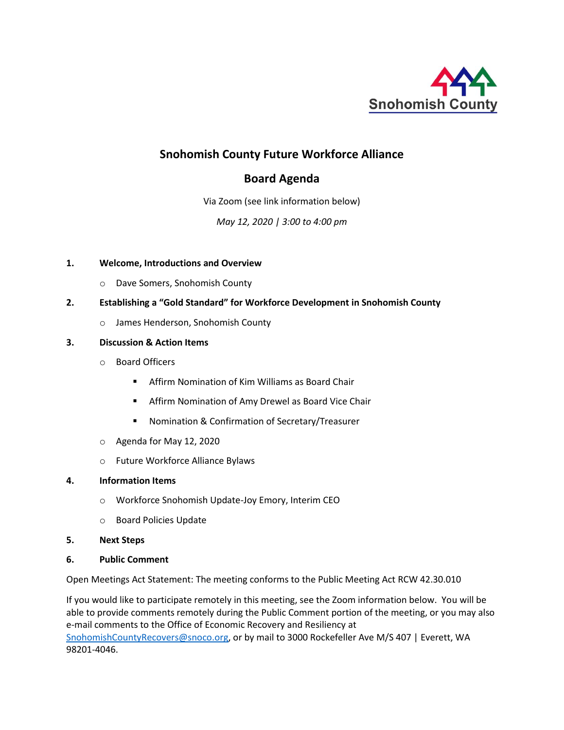

# **Snohomish County Future Workforce Alliance**

# **Board Agenda**

Via Zoom (see link information below)

*May 12, 2020 | 3:00 to 4:00 pm*

### **1. Welcome, Introductions and Overview**

o Dave Somers, Snohomish County

### **2. Establishing a "Gold Standard" for Workforce Development in Snohomish County**

o James Henderson, Snohomish County

### **3. Discussion & Action Items**

- o Board Officers
	- Affirm Nomination of Kim Williams as Board Chair
	- **E** Affirm Nomination of Amy Drewel as Board Vice Chair
	- **Nomination & Confirmation of Secretary/Treasurer**
- o Agenda for May 12, 2020
- o Future Workforce Alliance Bylaws

#### **4. Information Items**

- o Workforce Snohomish Update-Joy Emory, Interim CEO
- o Board Policies Update
- **5. Next Steps**

#### **6. Public Comment**

Open Meetings Act Statement: The meeting conforms to the Public Meeting Act RCW 42.30.010

If you would like to participate remotely in this meeting, see the Zoom information below. You will be able to provide comments remotely during the Public Comment portion of the meeting, or you may also e-mail comments to the Office of Economic Recovery and Resiliency at [SnohomishCountyRecovers@snoco.org,](mailto:SnohomishCountyRecovers@snoco.org) or by mail to 3000 Rockefeller Ave M/S 407 | Everett, WA 98201-4046.